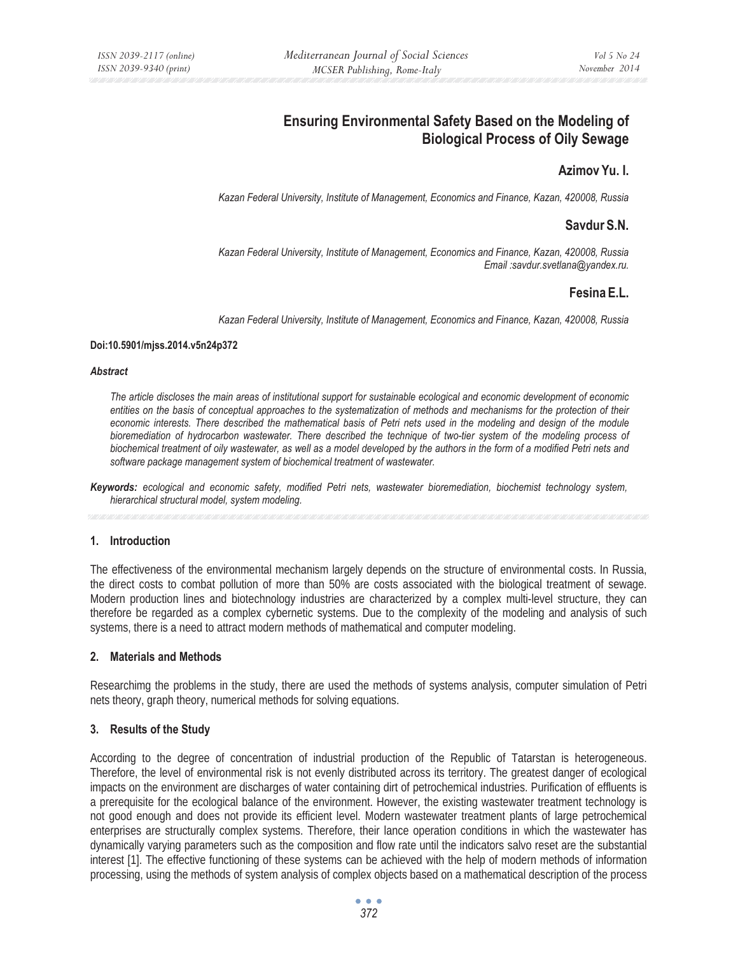# **Ensuring Environmental Safety Based on the Modeling of Biological Process of Oily Sewage**

# **Azimov Yu. I.**

*Kazan Federal University, Institute of Management, Economics and Finance, Kazan, 420008, Russia* 

# **Savdur S.N.**

*Kazan Federal University, Institute of Management, Economics and Finance, Kazan, 420008, Russia Email :savdur.svetlana@yandex.ru.* 

# **Fesina E.L.**

*Kazan Federal University, Institute of Management, Economics and Finance, Kazan, 420008, Russia* 

#### **Doi:10.5901/mjss.2014.v5n24p372**

#### *Abstract*

*The article discloses the main areas of institutional support for sustainable ecological and economic development of economic entities on the basis of conceptual approaches to the systematization of methods and mechanisms for the protection of their*  economic interests. There described the mathematical basis of Petri nets used in the modeling and design of the module *bioremediation of hydrocarbon wastewater. There described the technique of two-tier system of the modeling process of biochemical treatment of oily wastewater, as well as a model developed by the authors in the form of a modified Petri nets and software package management system of biochemical treatment of wastewater.* 

*Keywords: ecological and economic safety, modified Petri nets, wastewater bioremediation, biochemist technology system, hierarchical structural model, system modeling.* 

## **1. Introduction**

The effectiveness of the environmental mechanism largely depends on the structure of environmental costs. In Russia, the direct costs to combat pollution of more than 50% are costs associated with the biological treatment of sewage. Modern production lines and biotechnology industries are characterized by a complex multi-level structure, they can therefore be regarded as a complex cybernetic systems. Due to the complexity of the modeling and analysis of such systems, there is a need to attract modern methods of mathematical and computer modeling.

## **2. Materials and Methods**

Researchimg the problems in the study, there are used the methods of systems analysis, computer simulation of Petri nets theory, graph theory, numerical methods for solving equations.

## **3. Results of the Study**

According to the degree of concentration of industrial production of the Republic of Tatarstan is heterogeneous. Therefore, the level of environmental risk is not evenly distributed across its territory. The greatest danger of ecological impacts on the environment are discharges of water containing dirt of petrochemical industries. Purification of effluents is a prerequisite for the ecological balance of the environment. However, the existing wastewater treatment technology is not good enough and does not provide its efficient level. Modern wastewater treatment plants of large petrochemical enterprises are structurally complex systems. Therefore, their lance operation conditions in which the wastewater has dynamically varying parameters such as the composition and flow rate until the indicators salvo reset are the substantial interest [1]. The effective functioning of these systems can be achieved with the help of modern methods of information processing, using the methods of system analysis of complex objects based on a mathematical description of the process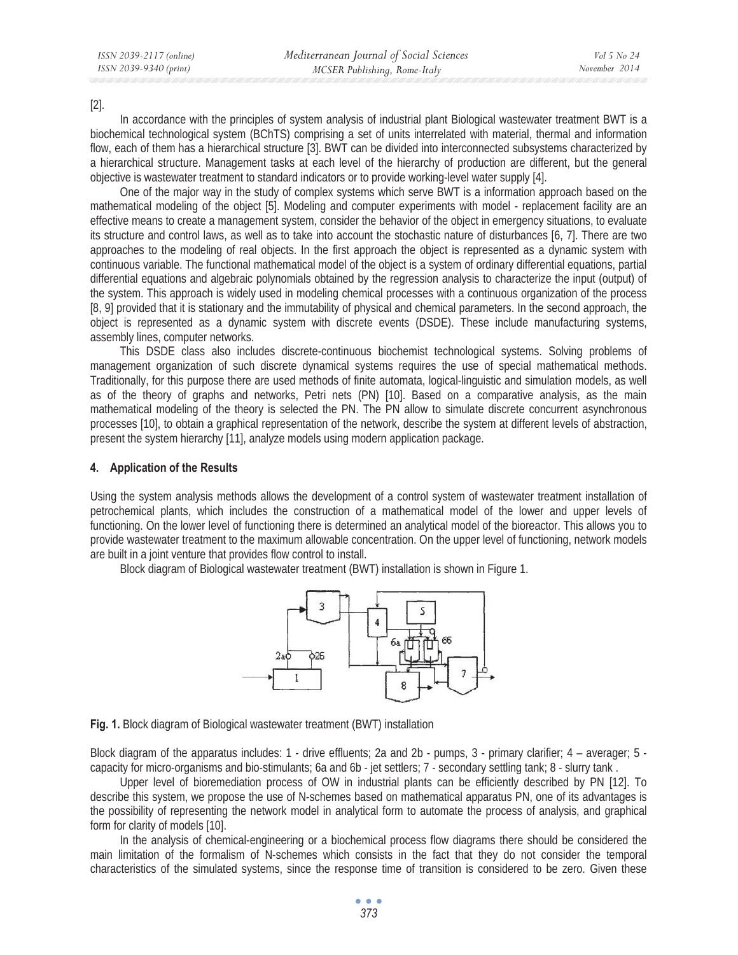[2].

In accordance with the principles of system analysis of industrial plant Biological wastewater treatment BWT is a biochemical technological system (BChTS) comprising a set of units interrelated with material, thermal and information flow, each of them has a hierarchical structure [3]. BWT can be divided into interconnected subsystems characterized by a hierarchical structure. Management tasks at each level of the hierarchy of production are different, but the general objective is wastewater treatment to standard indicators or to provide working-level water supply [4].

One of the major way in the study of complex systems which serve BWT is a information approach based on the mathematical modeling of the object [5]. Modeling and computer experiments with model - replacement facility are an effective means to create a management system, consider the behavior of the object in emergency situations, to evaluate its structure and control laws, as well as to take into account the stochastic nature of disturbances [6, 7]. There are two approaches to the modeling of real objects. In the first approach the object is represented as a dynamic system with continuous variable. The functional mathematical model of the object is a system of ordinary differential equations, partial differential equations and algebraic polynomials obtained by the regression analysis to characterize the input (output) of the system. This approach is widely used in modeling chemical processes with a continuous organization of the process [8, 9] provided that it is stationary and the immutability of physical and chemical parameters. In the second approach, the object is represented as a dynamic system with discrete events (DSDE). These include manufacturing systems, assembly lines, computer networks.

This DSDE class also includes discrete-continuous biochemist technological systems. Solving problems of management organization of such discrete dynamical systems requires the use of special mathematical methods. Traditionally, for this purpose there are used methods of finite automata, logical-linguistic and simulation models, as well as of the theory of graphs and networks, Petri nets (PN) [10]. Based on a comparative analysis, as the main mathematical modeling of the theory is selected the PN. The PN allow to simulate discrete concurrent asynchronous processes [10], to obtain a graphical representation of the network, describe the system at different levels of abstraction, present the system hierarchy [11], analyze models using modern application package.

## **4. Application of the Results**

Using the system analysis methods allows the development of a control system of wastewater treatment installation of petrochemical plants, which includes the construction of a mathematical model of the lower and upper levels of functioning. On the lower level of functioning there is determined an analytical model of the bioreactor. This allows you to provide wastewater treatment to the maximum allowable concentration. On the upper level of functioning, network models are built in a joint venture that provides flow control to install.

Block diagram of Biological wastewater treatment (BWT) installation is shown in Figure 1.



**Fig. 1.** Block diagram of Biological wastewater treatment (BWT) installation

Block diagram of the apparatus includes: 1 - drive effluents; 2a and 2b - pumps, 3 - primary clarifier; 4 – averager; 5 capacity for micro-organisms and bio-stimulants; 6a and 6b - jet settlers; 7 - secondary settling tank; 8 - slurry tank .

Upper level of bioremediation process of OW in industrial plants can be efficiently described by PN [12]. To describe this system, we propose the use of N-schemes based on mathematical apparatus PN, one of its advantages is the possibility of representing the network model in analytical form to automate the process of analysis, and graphical form for clarity of models [10].

In the analysis of chemical-engineering or a biochemical process flow diagrams there should be considered the main limitation of the formalism of N-schemes which consists in the fact that they do not consider the temporal characteristics of the simulated systems, since the response time of transition is considered to be zero. Given these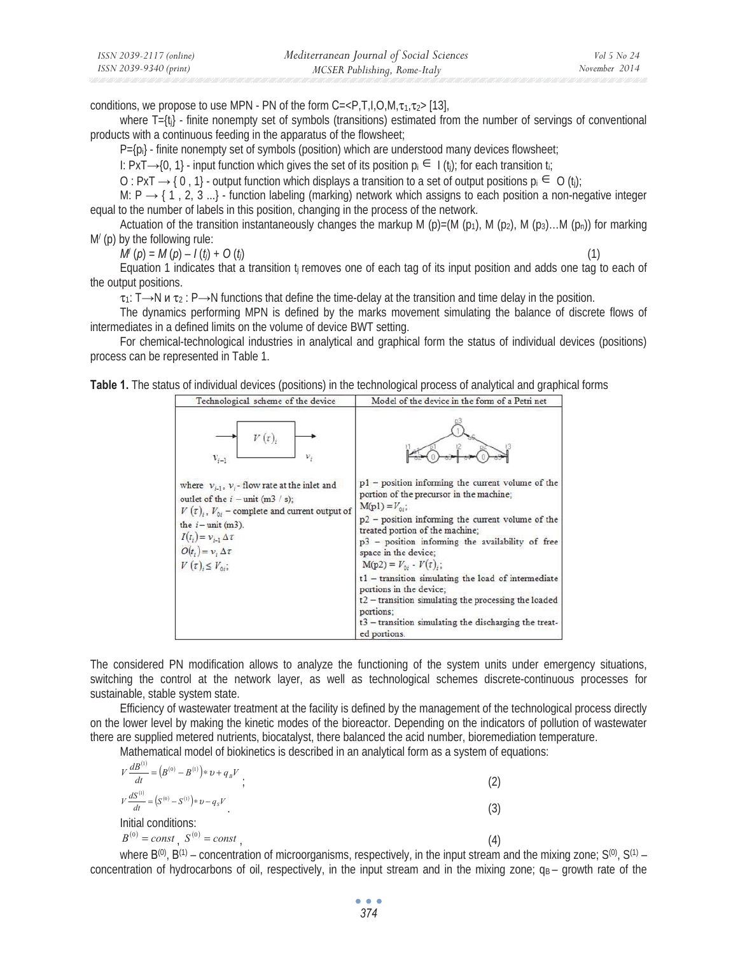| ISSN 2039-2117 (online) | Mediterranean Journal of Social Sciences | Vol 5 No 24   |
|-------------------------|------------------------------------------|---------------|
| ISSN 2039-9340 (print)  | MCSER Publishing, Rome-Italy             | November 2014 |

conditions, we propose to use MPN - PN of the form  $C = \langle P, T, I, O, M, \tau_1, \tau_2 \rangle$  [13],

where  $T = \{t_i\}$  - finite nonempty set of symbols (transitions) estimated from the number of servings of conventional products with a continuous feeding in the apparatus of the flowsheet;

 $P=\{p_i\}$ -finite nonempty set of symbols (position) which are understood many devices flowsheet;

I:  $\overrightarrow{Px1}$  → {0, 1} - input function which gives the set of its position  $p_i \in I$  (tj); for each transition ti;

O : PxT  $\rightarrow$  { 0, 1} - output function which displays a transition to a set of output positions  $p_i \in O (t_j)$ ;

M:  $P \rightarrow \{ 1, 2, 3 \ldots \}$  - function labeling (marking) network which assigns to each position a non-negative integer equal to the number of labels in this position, changing in the process of the network.

Actuation of the transition instantaneously changes the markup M (p)=(M (p<sub>1</sub>), M (p<sub>2</sub>), M (p<sub>3</sub>)...M (p<sub>n</sub>)) for marking M/ (p) by the following rule:

 $M'(p) = M(p) - I(t_j) + O(t_j)$  (1)

Equation 1 indicates that a transition to removes one of each tag of its input position and adds one tag to each of the output positions.

 $\tau_1: T \rightarrow N$   $\mu \tau_2: P \rightarrow N$  functions that define the time-delay at the transition and time delay in the position.

The dynamics performing MPN is defined by the marks movement simulating the balance of discrete flows of intermediates in a defined limits on the volume of device BWT setting.

For chemical-technological industries in analytical and graphical form the status of individual devices (positions) process can be represented in Table 1.

| Table 1. The status of individual devices (positions) in the technological process of analytical and graphical forms |  |
|----------------------------------------------------------------------------------------------------------------------|--|
|                                                                                                                      |  |

| Technological scheme of the device                                                                                                                                                                                                                                                                        | Model of the device in the form of a Petri net                                                                                                                                                                                                                                                                                                                                                                                                                                                                                                                |
|-----------------------------------------------------------------------------------------------------------------------------------------------------------------------------------------------------------------------------------------------------------------------------------------------------------|---------------------------------------------------------------------------------------------------------------------------------------------------------------------------------------------------------------------------------------------------------------------------------------------------------------------------------------------------------------------------------------------------------------------------------------------------------------------------------------------------------------------------------------------------------------|
| V(r)<br>$v_{i-1}$<br>where $v_{i-1}$ , $v_i$ - flow rate at the inlet and<br>outlet of the $i - \text{unit (m3 / s)}$ ;<br>$V(\tau)_{i}$ , $V_{0i}$ – complete and current output of<br>the $i$ – unit (m3).<br>$I(t_i) = v_{i-1} \Delta \tau$<br>$O(t_i) = v_i \Delta \tau$<br>$V(\tau)_i \leq V_{0i}$ ; | $p1$ – position informing the current volume of the<br>portion of the precursor in the machine;<br>$M(p1) = V_{0i}$<br>$p2$ – position informing the current volume of the<br>treated portion of the machine;<br>p3 - position informing the availability of free<br>space in the device;<br>$M(p2) = V_{0i} - V(\tau)$ ;<br>t1 - transition simulating the load of intermediate<br>portions in the device:<br>$t2$ – transition simulating the processing the loaded<br>portions:<br>$t3$ – transition simulating the discharging the treat-<br>ed portions. |

The considered PN modification allows to analyze the functioning of the system units under emergency situations, switching the control at the network layer, as well as technological schemes discrete-continuous processes for sustainable, stable system state.

Efficiency of wastewater treatment at the facility is defined by the management of the technological process directly on the lower level by making the kinetic modes of the bioreactor. Depending on the indicators of pollution of wastewater there are supplied metered nutrients, biocatalyst, there balanced the acid number, bioremediation temperature.

Mathematical model of biokinetics is described in an analytical form as a system of equations:

| $V\frac{dB^{(1)}}{dt} = (B^{(0)} - B^{(1)}) * v + q_{B}V$    |                  |
|--------------------------------------------------------------|------------------|
| $V\frac{dS^{(1)}}{dt} = (S^{(0)} - S^{(1)}) * v - q_s V$     | (3)              |
| Initial conditions:                                          |                  |
| $B^{(0)} = const$ $S^{(0)} = const$<br>$\sim$ (0) $\sim$ (4) | $\left(4\right)$ |

where  $B^{(0)}$ ,  $B^{(1)}$  – concentration of microorganisms, respectively, in the input stream and the mixing zone;  $S^{(0)}$ ,  $S^{(1)}$  – concentration of hydrocarbons of oil, respectively, in the input stream and in the mixing zone;  $q_B$  – growth rate of the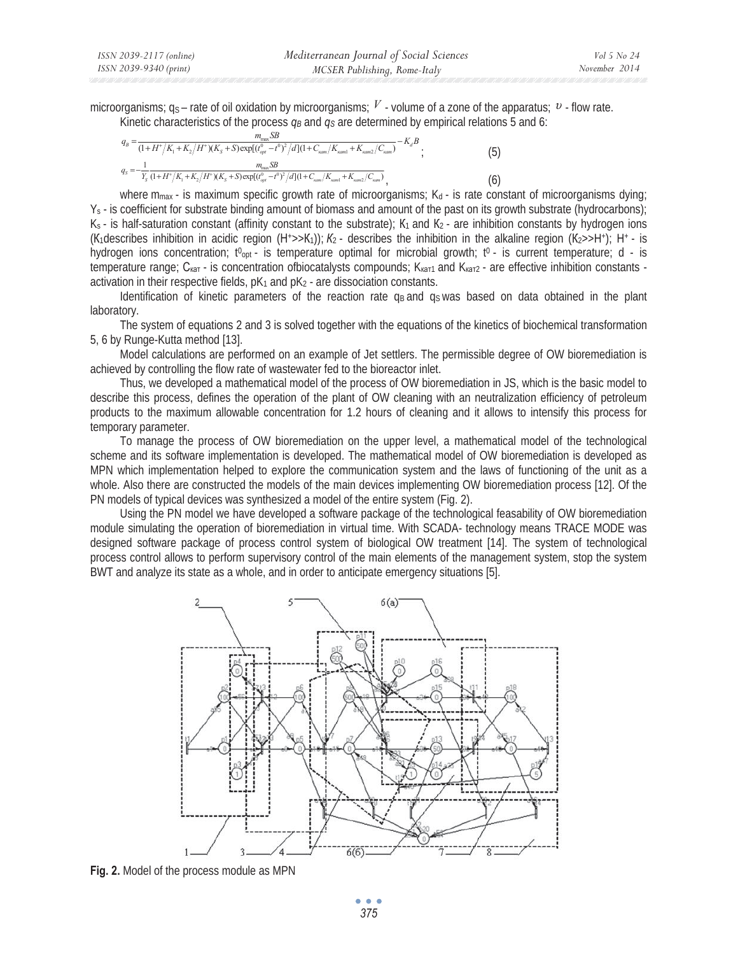microorganisms; qs – rate of oil oxidation by microorganisms;  $V$  - volume of a zone of the apparatus;  $v$  - flow rate. Kinetic characteristics of the process  $q_B$  and  $q_S$  are determined by empirical relations 5 and 6:

$$
q_{B} = \frac{m_{\text{max}}SB}{(1+H^{+}/K_{1}+K_{2}/H^{+})(K_{S}+S)\exp[(t_{opt}^{0}-t^{0})^{2}/d](1+C_{\text{num}}/K_{\text{num}}+K_{\text{num}}/C_{\text{num}})}-K_{d}B
$$
\n
$$
q_{S} = -\frac{1}{Y_{S}}\frac{m_{\text{max}}SB}{(1+H^{+}/K_{1}+K_{2}/H^{+})(K_{S}+S)\exp[(t_{opt}^{0}-t^{0})^{2}/d](1+C_{\text{num}}/K_{\text{num}}+K_{\text{num}}/C_{\text{num}})}.
$$
\n(6)

where  $m_{max}$  - is maximum specific growth rate of microorganisms;  $K_d$  - is rate constant of microorganisms dying;  $Y_s$  - is coefficient for substrate binding amount of biomass and amount of the past on its growth substrate (hydrocarbons);  $K_s$  - is half-saturation constant (affinity constant to the substrate);  $K_1$  and  $K_2$  - are inhibition constants by hydrogen ions  $(K_1$ describes inhibition in acidic region  $(H^+>K_1)$ ;  $K_2$  - describes the inhibition in the alkaline region  $(K_2>H^+)$ ; H $+$  - is hydrogen ions concentration;  $t^0$ <sub>opt</sub> - is temperature optimal for microbial growth;  $t^0$  - is current temperature; d - is temperature range; C<sub>KaT</sub> - is concentration ofbiocatalysts compounds; K<sub>KaT1</sub> and K<sub>KaT2</sub> - are effective inhibition constants activation in their respective fields,  $pK_1$  and  $pK_2$  - are dissociation constants.

Identification of kinetic parameters of the reaction rate  $q_B$  and  $q_S$  was based on data obtained in the plant laboratory.

The system of equations 2 and 3 is solved together with the equations of the kinetics of biochemical transformation 5, 6 by Runge-Kutta method [13].

Model calculations are performed on an example of Jet settlers. The permissible degree of OW bioremediation is achieved by controlling the flow rate of wastewater fed to the bioreactor inlet.

Thus, we developed a mathematical model of the process of OW bioremediation in JS, which is the basic model to describe this process, defines the operation of the plant of OW cleaning with an neutralization efficiency of petroleum products to the maximum allowable concentration for 1.2 hours of cleaning and it allows to intensify this process for temporary parameter.

To manage the process of OW bioremediation on the upper level, a mathematical model of the technological scheme and its software implementation is developed. The mathematical model of OW bioremediation is developed as MPN which implementation helped to explore the communication system and the laws of functioning of the unit as a whole. Also there are constructed the models of the main devices implementing OW bioremediation process [12]. Of the PN models of typical devices was synthesized a model of the entire system (Fig. 2).

Using the PN model we have developed a software package of the technological feasability of OW bioremediation module simulating the operation of bioremediation in virtual time. With SCADA- technology means TRACE MODE was designed software package of process control system of biological OW treatment [14]. The system of technological process control allows to perform supervisory control of the main elements of the management system, stop the system BWT and analyze its state as a whole, and in order to anticipate emergency situations [5].



**Fig. 2.** Model of the process module as MPN